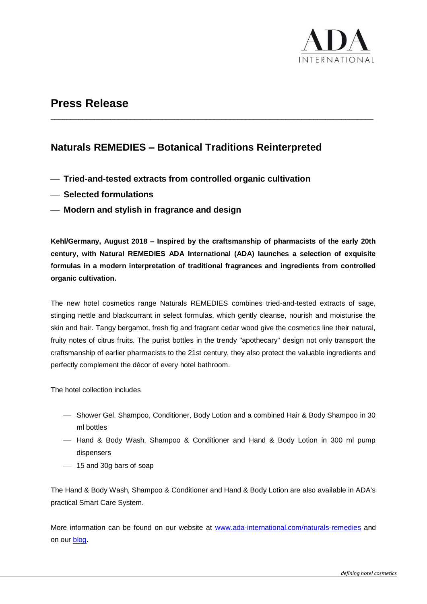

## **Press Release**

### **Naturals REMEDIES – Botanical Traditions Reinterpreted**

\_\_\_\_\_\_\_\_\_\_\_\_\_\_\_\_\_\_\_\_\_\_\_\_\_\_\_\_\_\_\_\_\_\_\_\_\_\_\_\_\_\_\_\_\_\_\_\_\_\_\_\_\_\_\_\_\_\_\_\_\_\_\_\_\_\_\_\_\_\_\_\_\_\_\_\_\_\_\_\_\_

- ⎯ **Tried-and-tested extracts from controlled organic cultivation**
- ⎯ **Selected formulations**
- ⎯ **Modern and stylish in fragrance and design**

**Kehl/Germany, August 2018 – Inspired by the craftsmanship of pharmacists of the early 20th century, with Natural REMEDIES ADA International (ADA) launches a selection of exquisite formulas in a modern interpretation of traditional fragrances and ingredients from controlled organic cultivation.**

The new hotel cosmetics range Naturals REMEDIES combines tried-and-tested extracts of sage, stinging nettle and blackcurrant in select formulas, which gently cleanse, nourish and moisturise the skin and hair. Tangy bergamot, fresh fig and fragrant cedar wood give the cosmetics line their natural, fruity notes of citrus fruits. The purist bottles in the trendy "apothecary" design not only transport the craftsmanship of earlier pharmacists to the 21st century, they also protect the valuable ingredients and perfectly complement the décor of every hotel bathroom.

The hotel collection includes

- ⎯ Shower Gel, Shampoo, Conditioner, Body Lotion and a combined Hair & Body Shampoo in 30 ml bottles
- ⎯ Hand & Body Wash, Shampoo & Conditioner and Hand & Body Lotion in 300 ml pump dispensers
- 15 and 30g bars of soap

The Hand & Body Wash, Shampoo & Conditioner and Hand & Body Lotion are also available in ADA's practical Smart Care System.

More information can be found on our website at [www.ada-international.com/naturals-remedies](https://www.ada-international.com/en/brands/lifestyle-brands/responsible-living/naturals-remedies/) and on our [blog.](https://www.ada-international.com/en/group/corporate-blog/)